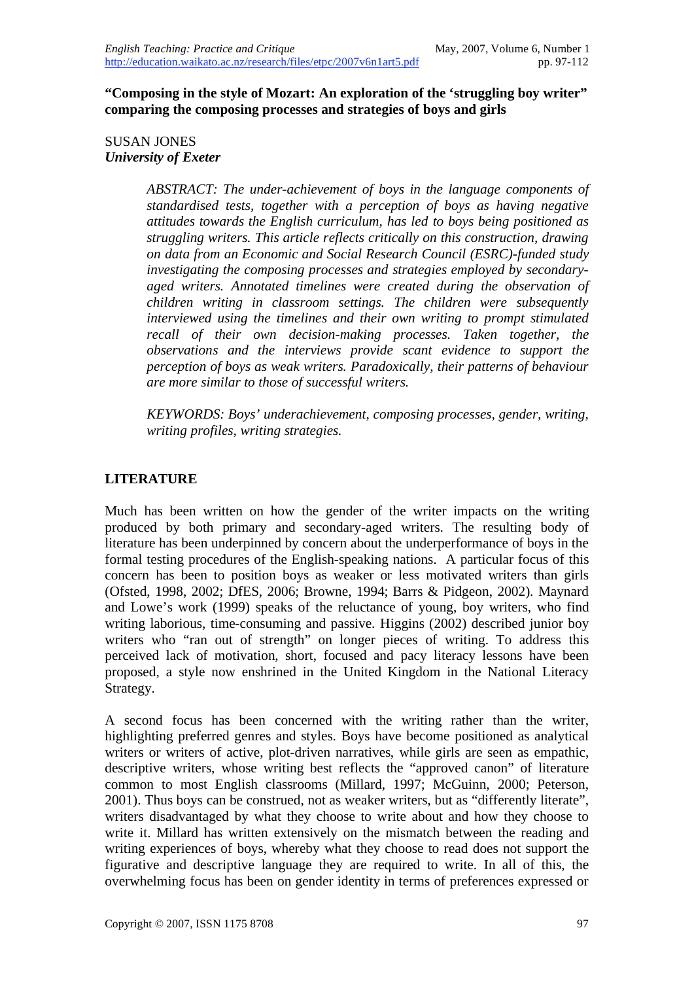### **"Composing in the style of Mozart: An exploration of the 'struggling boy writer" comparing the composing processes and strategies of boys and girls**

# SUSAN JONES *University of Exeter*

*ABSTRACT: The under-achievement of boys in the language components of standardised tests, together with a perception of boys as having negative attitudes towards the English curriculum, has led to boys being positioned as struggling writers. This article reflects critically on this construction, drawing on data from an Economic and Social Research Council (ESRC)-funded study investigating the composing processes and strategies employed by secondaryaged writers. Annotated timelines were created during the observation of children writing in classroom settings. The children were subsequently interviewed using the timelines and their own writing to prompt stimulated recall of their own decision-making processes. Taken together, the observations and the interviews provide scant evidence to support the perception of boys as weak writers. Paradoxically, their patterns of behaviour are more similar to those of successful writers.* 

*KEYWORDS: Boys' underachievement, composing processes, gender, writing, writing profiles, writing strategies.*

# **LITERATURE**

Much has been written on how the gender of the writer impacts on the writing produced by both primary and secondary-aged writers. The resulting body of literature has been underpinned by concern about the underperformance of boys in the formal testing procedures of the English-speaking nations. A particular focus of this concern has been to position boys as weaker or less motivated writers than girls (Ofsted, 1998, 2002; DfES, 2006; Browne, 1994; Barrs & Pidgeon, 2002). Maynard and Lowe's work (1999) speaks of the reluctance of young, boy writers, who find writing laborious, time-consuming and passive. Higgins (2002) described junior boy writers who "ran out of strength" on longer pieces of writing. To address this perceived lack of motivation, short, focused and pacy literacy lessons have been proposed, a style now enshrined in the United Kingdom in the National Literacy Strategy.

A second focus has been concerned with the writing rather than the writer, highlighting preferred genres and styles. Boys have become positioned as analytical writers or writers of active, plot-driven narratives, while girls are seen as empathic, descriptive writers, whose writing best reflects the "approved canon" of literature common to most English classrooms (Millard, 1997; McGuinn, 2000; Peterson, 2001). Thus boys can be construed, not as weaker writers, but as "differently literate", writers disadvantaged by what they choose to write about and how they choose to write it. Millard has written extensively on the mismatch between the reading and writing experiences of boys, whereby what they choose to read does not support the figurative and descriptive language they are required to write. In all of this, the overwhelming focus has been on gender identity in terms of preferences expressed or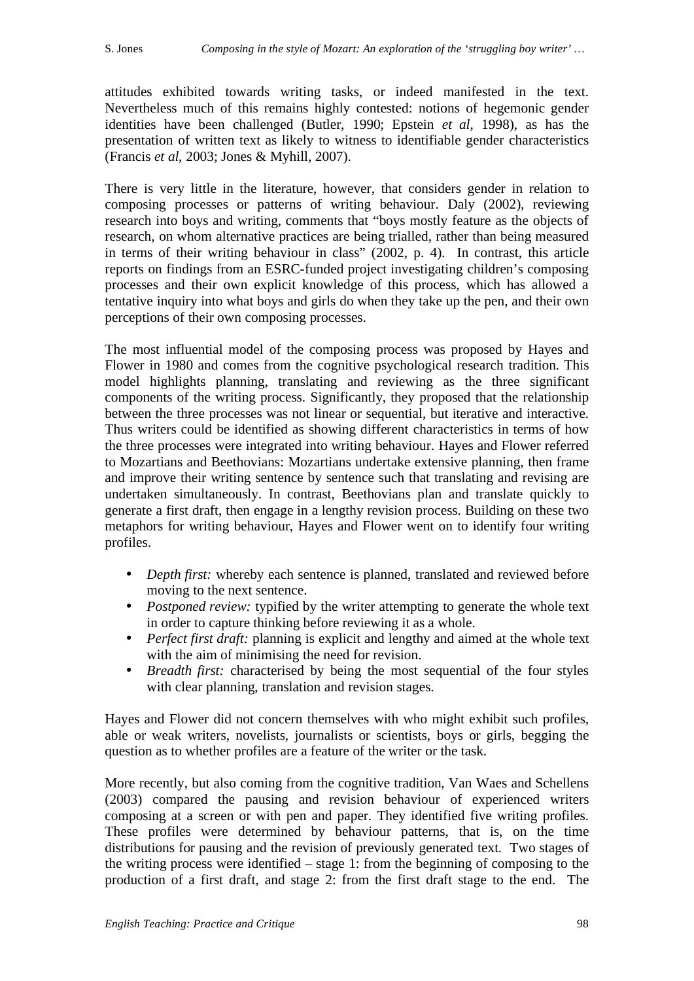attitudes exhibited towards writing tasks, or indeed manifested in the text. Nevertheless much of this remains highly contested: notions of hegemonic gender identities have been challenged (Butler, 1990; Epstein *et al*, 1998), as has the presentation of written text as likely to witness to identifiable gender characteristics (Francis *et al*, 2003; Jones & Myhill, 2007).

There is very little in the literature, however, that considers gender in relation to composing processes or patterns of writing behaviour. Daly (2002), reviewing research into boys and writing, comments that "boys mostly feature as the objects of research, on whom alternative practices are being trialled, rather than being measured in terms of their writing behaviour in class" (2002, p. 4). In contrast, this article reports on findings from an ESRC-funded project investigating children's composing processes and their own explicit knowledge of this process, which has allowed a tentative inquiry into what boys and girls do when they take up the pen, and their own perceptions of their own composing processes.

The most influential model of the composing process was proposed by Hayes and Flower in 1980 and comes from the cognitive psychological research tradition. This model highlights planning, translating and reviewing as the three significant components of the writing process. Significantly, they proposed that the relationship between the three processes was not linear or sequential, but iterative and interactive. Thus writers could be identified as showing different characteristics in terms of how the three processes were integrated into writing behaviour. Hayes and Flower referred to Mozartians and Beethovians: Mozartians undertake extensive planning, then frame and improve their writing sentence by sentence such that translating and revising are undertaken simultaneously. In contrast, Beethovians plan and translate quickly to generate a first draft, then engage in a lengthy revision process. Building on these two metaphors for writing behaviour, Hayes and Flower went on to identify four writing profiles.

- *Depth first:* whereby each sentence is planned, translated and reviewed before moving to the next sentence.
- *Postponed review:* typified by the writer attempting to generate the whole text in order to capture thinking before reviewing it as a whole.
- *Perfect first draft:* planning is explicit and lengthy and aimed at the whole text with the aim of minimising the need for revision.
- *Breadth first:* characterised by being the most sequential of the four styles with clear planning, translation and revision stages.

Hayes and Flower did not concern themselves with who might exhibit such profiles, able or weak writers, novelists, journalists or scientists, boys or girls, begging the question as to whether profiles are a feature of the writer or the task.

More recently, but also coming from the cognitive tradition, Van Waes and Schellens (2003) compared the pausing and revision behaviour of experienced writers composing at a screen or with pen and paper. They identified five writing profiles. These profiles were determined by behaviour patterns, that is, on the time distributions for pausing and the revision of previously generated text. Two stages of the writing process were identified – stage 1: from the beginning of composing to the production of a first draft, and stage 2: from the first draft stage to the end. The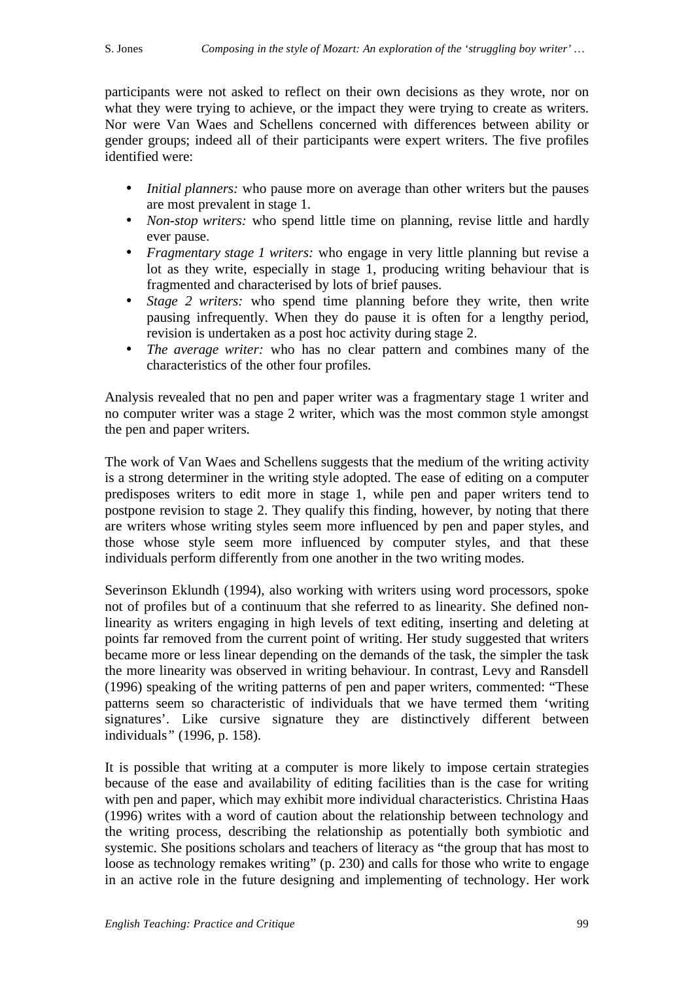participants were not asked to reflect on their own decisions as they wrote, nor on what they were trying to achieve, or the impact they were trying to create as writers. Nor were Van Waes and Schellens concerned with differences between ability or gender groups; indeed all of their participants were expert writers. The five profiles identified were:

- *Initial planners:* who pause more on average than other writers but the pauses are most prevalent in stage 1.
- *Non-stop writers:* who spend little time on planning, revise little and hardly ever pause.
- *Fragmentary stage 1 writers:* who engage in very little planning but revise a lot as they write, especially in stage 1, producing writing behaviour that is fragmented and characterised by lots of brief pauses.
- *Stage 2 writers:* who spend time planning before they write, then write pausing infrequently. When they do pause it is often for a lengthy period, revision is undertaken as a post hoc activity during stage 2.
- *The average writer:* who has no clear pattern and combines many of the characteristics of the other four profiles.

Analysis revealed that no pen and paper writer was a fragmentary stage 1 writer and no computer writer was a stage 2 writer, which was the most common style amongst the pen and paper writers.

The work of Van Waes and Schellens suggests that the medium of the writing activity is a strong determiner in the writing style adopted. The ease of editing on a computer predisposes writers to edit more in stage 1, while pen and paper writers tend to postpone revision to stage 2. They qualify this finding, however, by noting that there are writers whose writing styles seem more influenced by pen and paper styles, and those whose style seem more influenced by computer styles, and that these individuals perform differently from one another in the two writing modes.

Severinson Eklundh (1994), also working with writers using word processors, spoke not of profiles but of a continuum that she referred to as linearity. She defined nonlinearity as writers engaging in high levels of text editing, inserting and deleting at points far removed from the current point of writing. Her study suggested that writers became more or less linear depending on the demands of the task, the simpler the task the more linearity was observed in writing behaviour. In contrast, Levy and Ransdell (1996) speaking of the writing patterns of pen and paper writers, commented: "These patterns seem so characteristic of individuals that we have termed them 'writing signatures'. Like cursive signature they are distinctively different between individuals*"* (1996, p. 158).

It is possible that writing at a computer is more likely to impose certain strategies because of the ease and availability of editing facilities than is the case for writing with pen and paper, which may exhibit more individual characteristics. Christina Haas (1996) writes with a word of caution about the relationship between technology and the writing process, describing the relationship as potentially both symbiotic and systemic. She positions scholars and teachers of literacy as "the group that has most to loose as technology remakes writing" (p. 230) and calls for those who write to engage in an active role in the future designing and implementing of technology. Her work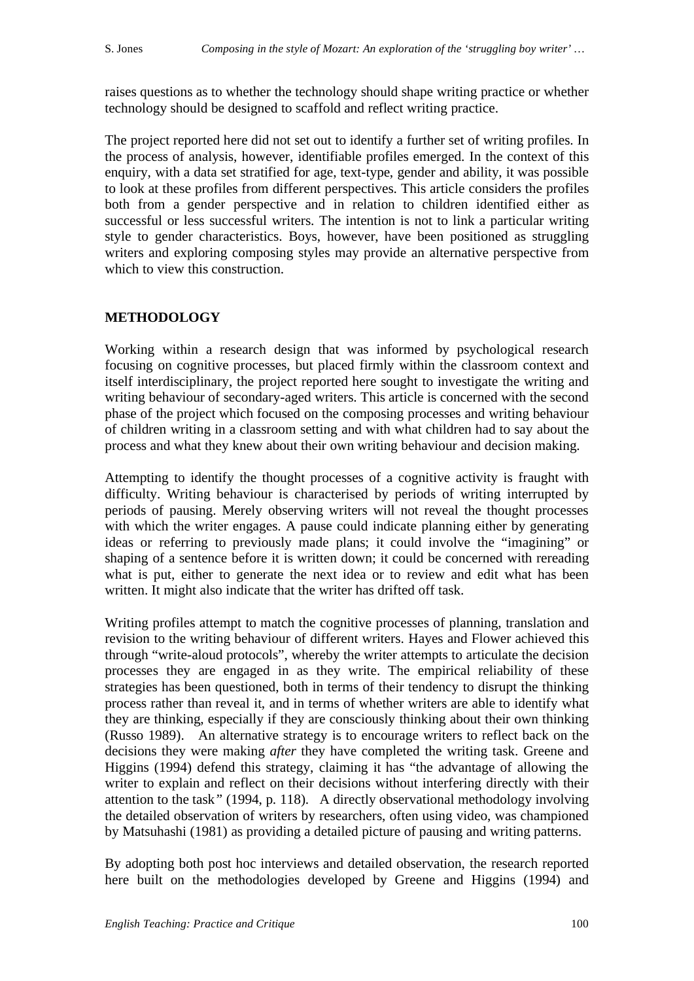raises questions as to whether the technology should shape writing practice or whether technology should be designed to scaffold and reflect writing practice.

The project reported here did not set out to identify a further set of writing profiles. In the process of analysis, however, identifiable profiles emerged. In the context of this enquiry, with a data set stratified for age, text-type, gender and ability, it was possible to look at these profiles from different perspectives. This article considers the profiles both from a gender perspective and in relation to children identified either as successful or less successful writers. The intention is not to link a particular writing style to gender characteristics. Boys, however, have been positioned as struggling writers and exploring composing styles may provide an alternative perspective from which to view this construction.

# **METHODOLOGY**

Working within a research design that was informed by psychological research focusing on cognitive processes, but placed firmly within the classroom context and itself interdisciplinary, the project reported here sought to investigate the writing and writing behaviour of secondary-aged writers. This article is concerned with the second phase of the project which focused on the composing processes and writing behaviour of children writing in a classroom setting and with what children had to say about the process and what they knew about their own writing behaviour and decision making.

Attempting to identify the thought processes of a cognitive activity is fraught with difficulty. Writing behaviour is characterised by periods of writing interrupted by periods of pausing. Merely observing writers will not reveal the thought processes with which the writer engages. A pause could indicate planning either by generating ideas or referring to previously made plans; it could involve the "imagining" or shaping of a sentence before it is written down; it could be concerned with rereading what is put, either to generate the next idea or to review and edit what has been written. It might also indicate that the writer has drifted off task.

Writing profiles attempt to match the cognitive processes of planning, translation and revision to the writing behaviour of different writers. Hayes and Flower achieved this through "write-aloud protocols", whereby the writer attempts to articulate the decision processes they are engaged in as they write. The empirical reliability of these strategies has been questioned, both in terms of their tendency to disrupt the thinking process rather than reveal it, and in terms of whether writers are able to identify what they are thinking, especially if they are consciously thinking about their own thinking (Russo 1989). An alternative strategy is to encourage writers to reflect back on the decisions they were making *after* they have completed the writing task. Greene and Higgins (1994) defend this strategy, claiming it has "the advantage of allowing the writer to explain and reflect on their decisions without interfering directly with their attention to the task*"* (1994, p. 118). A directly observational methodology involving the detailed observation of writers by researchers, often using video, was championed by Matsuhashi (1981) as providing a detailed picture of pausing and writing patterns.

By adopting both post hoc interviews and detailed observation, the research reported here built on the methodologies developed by Greene and Higgins (1994) and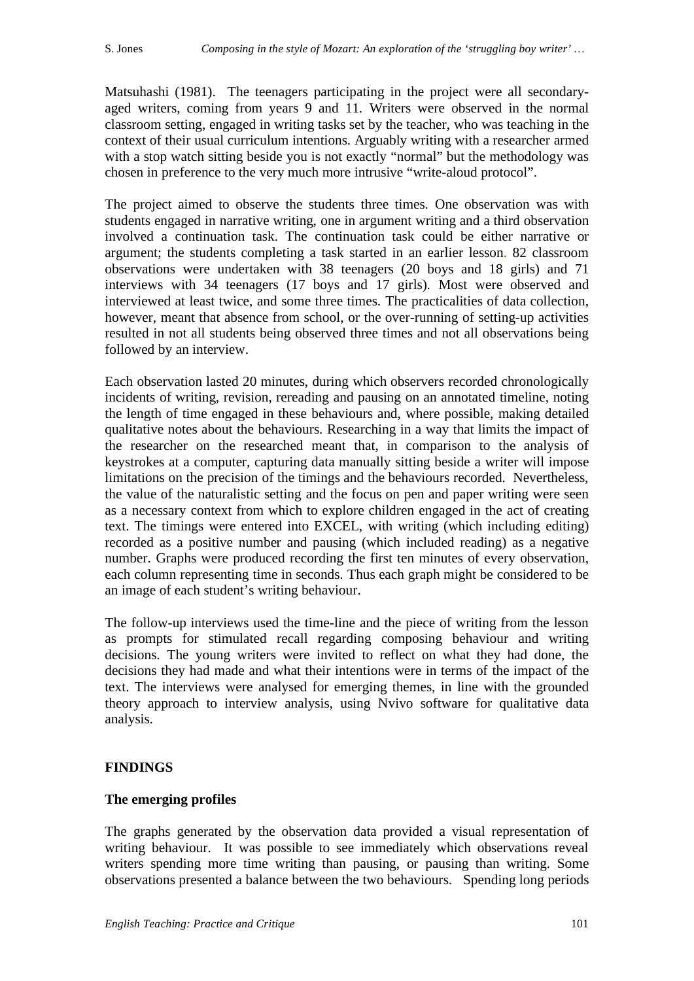Matsuhashi (1981). The teenagers participating in the project were all secondaryaged writers, coming from years 9 and 11. Writers were observed in the normal classroom setting, engaged in writing tasks set by the teacher, who was teaching in the context of their usual curriculum intentions. Arguably writing with a researcher armed with a stop watch sitting beside you is not exactly "normal" but the methodology was chosen in preference to the very much more intrusive "write-aloud protocol".

The project aimed to observe the students three times. One observation was with students engaged in narrative writing, one in argument writing and a third observation involved a continuation task. The continuation task could be either narrative or argument; the students completing a task started in an earlier lesson. 82 classroom observations were undertaken with 38 teenagers (20 boys and 18 girls) and 71 interviews with 34 teenagers (17 boys and 17 girls). Most were observed and interviewed at least twice, and some three times. The practicalities of data collection, however, meant that absence from school, or the over-running of setting-up activities resulted in not all students being observed three times and not all observations being followed by an interview.

Each observation lasted 20 minutes, during which observers recorded chronologically incidents of writing, revision, rereading and pausing on an annotated timeline, noting the length of time engaged in these behaviours and, where possible, making detailed qualitative notes about the behaviours. Researching in a way that limits the impact of the researcher on the researched meant that, in comparison to the analysis of keystrokes at a computer, capturing data manually sitting beside a writer will impose limitations on the precision of the timings and the behaviours recorded. Nevertheless, the value of the naturalistic setting and the focus on pen and paper writing were seen as a necessary context from which to explore children engaged in the act of creating text. The timings were entered into EXCEL, with writing (which including editing) recorded as a positive number and pausing (which included reading) as a negative number. Graphs were produced recording the first ten minutes of every observation, each column representing time in seconds. Thus each graph might be considered to be an image of each student's writing behaviour.

The follow-up interviews used the time-line and the piece of writing from the lesson as prompts for stimulated recall regarding composing behaviour and writing decisions. The young writers were invited to reflect on what they had done, the decisions they had made and what their intentions were in terms of the impact of the text. The interviews were analysed for emerging themes, in line with the grounded theory approach to interview analysis, using Nvivo software for qualitative data analysis.

# **FINDINGS**

# **The emerging profiles**

The graphs generated by the observation data provided a visual representation of writing behaviour. It was possible to see immediately which observations reveal writers spending more time writing than pausing, or pausing than writing. Some observations presented a balance between the two behaviours. Spending long periods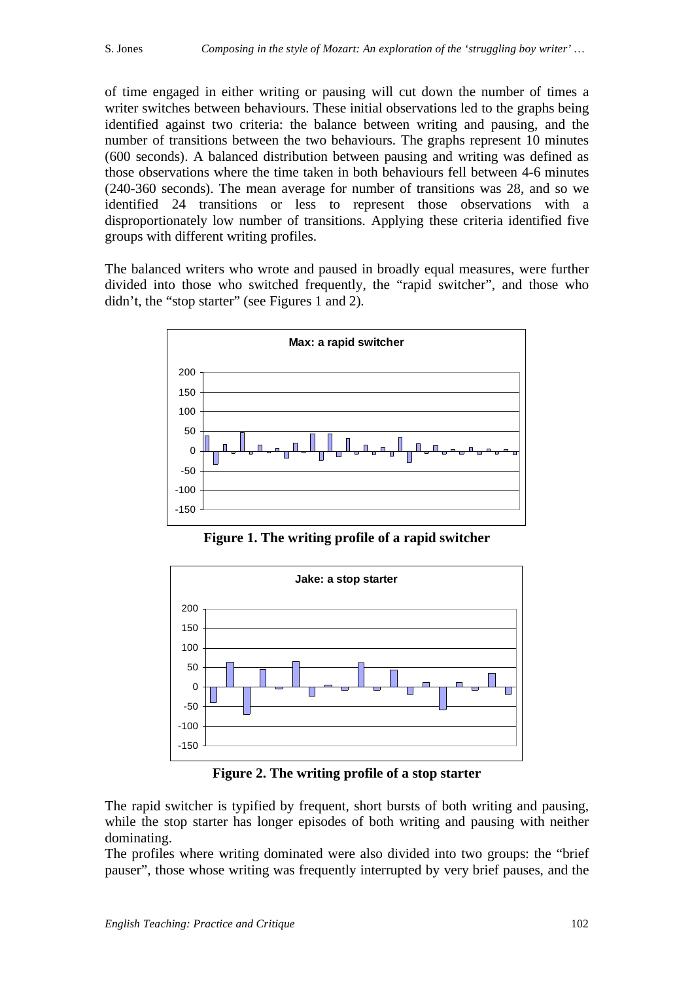of time engaged in either writing or pausing will cut down the number of times a writer switches between behaviours. These initial observations led to the graphs being identified against two criteria: the balance between writing and pausing, and the number of transitions between the two behaviours. The graphs represent 10 minutes (600 seconds). A balanced distribution between pausing and writing was defined as those observations where the time taken in both behaviours fell between 4-6 minutes (240-360 seconds). The mean average for number of transitions was 28, and so we identified 24 transitions or less to represent those observations with a disproportionately low number of transitions. Applying these criteria identified five groups with different writing profiles.

The balanced writers who wrote and paused in broadly equal measures, were further divided into those who switched frequently, the "rapid switcher", and those who didn't, the "stop starter" (see Figures 1 and 2).



**Figure 1. The writing profile of a rapid switcher** 



**Figure 2. The writing profile of a stop starter** 

The rapid switcher is typified by frequent, short bursts of both writing and pausing, while the stop starter has longer episodes of both writing and pausing with neither dominating.

The profiles where writing dominated were also divided into two groups: the "brief pauser", those whose writing was frequently interrupted by very brief pauses, and the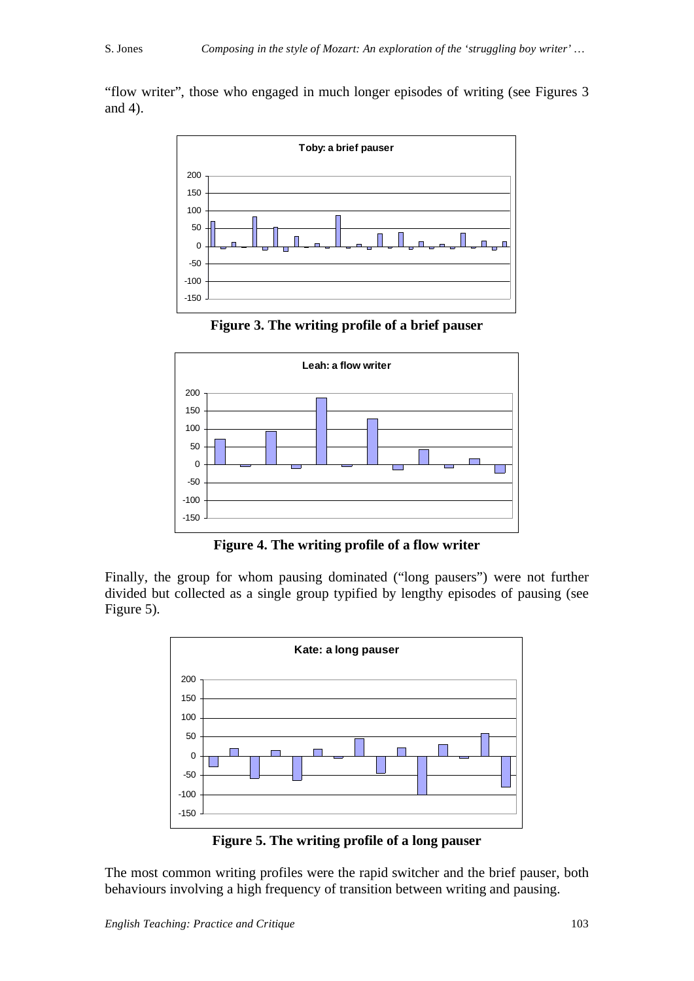"flow writer", those who engaged in much longer episodes of writing (see Figures 3 and 4).



**Figure 3. The writing profile of a brief pauser** 



**Figure 4. The writing profile of a flow writer** 

Finally, the group for whom pausing dominated ("long pausers") were not further divided but collected as a single group typified by lengthy episodes of pausing (see Figure 5).



**Figure 5. The writing profile of a long pauser** 

The most common writing profiles were the rapid switcher and the brief pauser, both behaviours involving a high frequency of transition between writing and pausing.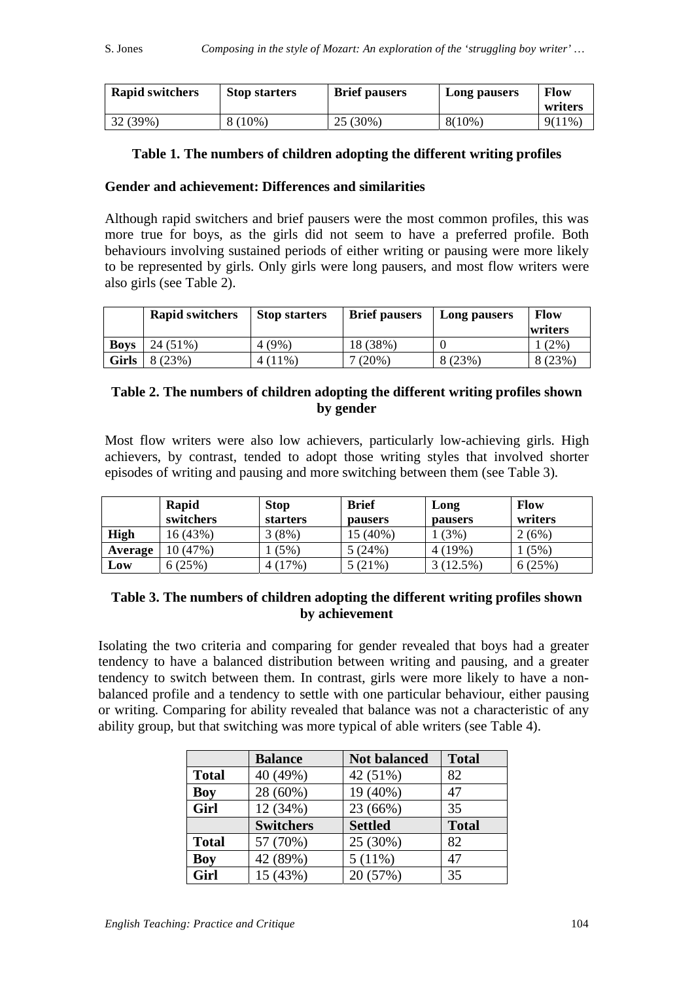| <b>Rapid switchers</b> | <b>Stop starters</b> | <b>Brief pausers</b> | Long pausers | Flow<br>writers |
|------------------------|----------------------|----------------------|--------------|-----------------|
| 32 (39%)               | 8 (10%)              | 25 (30%)             | 8(10%)       | $9(11\%)$       |

# **Table 1. The numbers of children adopting the different writing profiles**

# **Gender and achievement: Differences and similarities**

Although rapid switchers and brief pausers were the most common profiles, this was more true for boys, as the girls did not seem to have a preferred profile. Both behaviours involving sustained periods of either writing or pausing were more likely to be represented by girls. Only girls were long pausers, and most flow writers were also girls (see Table 2).

|              | <b>Rapid switchers</b> | <b>Stop starters</b> | <b>Brief pausers</b> | Long pausers | <b>Flow</b> |
|--------------|------------------------|----------------------|----------------------|--------------|-------------|
|              |                        |                      |                      |              | writers     |
| <b>Boys</b>  | 24 (51%)               | 4 (9%)               | 18 (38%)             |              | $(2\%)$     |
| <b>Girls</b> | 8(23%)                 | 4 (11%)              | $(20\%)$             | 8 (23%)      | 8(23%)      |

# **Table 2. The numbers of children adopting the different writing profiles shown by gender**

Most flow writers were also low achievers, particularly low-achieving girls. High achievers, by contrast, tended to adopt those writing styles that involved shorter episodes of writing and pausing and more switching between them (see Table 3).

|             | Rapid<br>switchers | <b>Stop</b><br>starters | <b>Brief</b><br><b>pausers</b> | Long<br>pausers | Flow<br>writers |
|-------------|--------------------|-------------------------|--------------------------------|-----------------|-----------------|
| <b>High</b> | 16 (43%)           | $(8\%)$                 | 15 (40%)                       | $(3\%)$         | 2(6%)           |
| Average     | 10 (47%)           | (5%)                    | 5(24%)                         | 4 (19%)         | $(5\%)$         |
| Low         | 6(25%)             | (17%)                   | 5 (21%)                        | $(12.5\%)$      | 6(25%)          |

# **Table 3. The numbers of children adopting the different writing profiles shown by achievement**

Isolating the two criteria and comparing for gender revealed that boys had a greater tendency to have a balanced distribution between writing and pausing, and a greater tendency to switch between them. In contrast, girls were more likely to have a nonbalanced profile and a tendency to settle with one particular behaviour, either pausing or writing. Comparing for ability revealed that balance was not a characteristic of any ability group, but that switching was more typical of able writers (see Table 4).

|              | <b>Balance</b>   | <b>Not balanced</b> | <b>Total</b> |
|--------------|------------------|---------------------|--------------|
| <b>Total</b> | 40 (49%)         | 42 (51%)            | 82           |
| <b>Boy</b>   | 28 (60%)         | 19 (40%)            | 47           |
| Girl         | 12 (34%)         | 23 (66%)            | 35           |
|              | <b>Switchers</b> | <b>Settled</b>      | <b>Total</b> |
| <b>Total</b> | 57 (70%)         | 25 (30%)            | 82           |
| Boy          | 42 (89%)         | 5(11%)              | 47           |
| Girl         | 15 (43%)         | 20 (57%)            | 35           |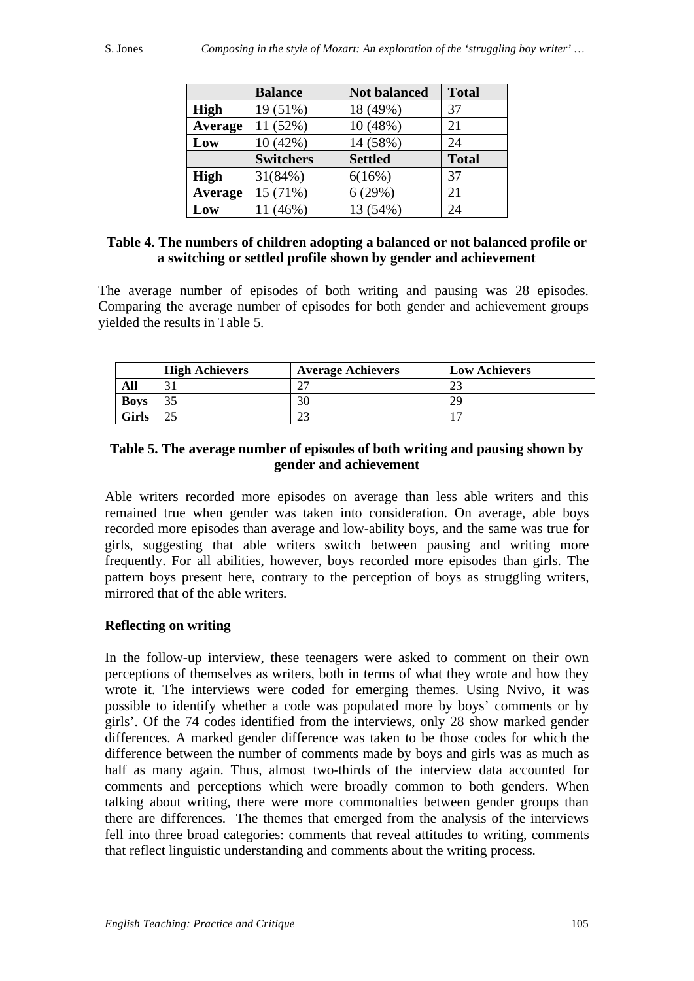|             | <b>Balance</b>   | <b>Not balanced</b> | <b>Total</b> |
|-------------|------------------|---------------------|--------------|
| <b>High</b> | 19 (51%)         | 18 (49%)            | 37           |
| Average     | 11 (52%)         | 10 (48%)            | 21           |
| Low         | 10(42%)          | 14 (58%)            | 24           |
|             | <b>Switchers</b> | <b>Settled</b>      | <b>Total</b> |
| <b>High</b> | 31(84%)          | 6(16%)              | 37           |
| Average     | 15 (71%)         | 6(29%)              | 21           |
| Low         | 11 (46%)         | 13 (54%)            | 24           |

### **Table 4. The numbers of children adopting a balanced or not balanced profile or a switching or settled profile shown by gender and achievement**

The average number of episodes of both writing and pausing was 28 episodes. Comparing the average number of episodes for both gender and achievement groups yielded the results in Table 5.

|             | <b>High Achievers</b> | <b>Average Achievers</b> | <b>Low Achievers</b> |
|-------------|-----------------------|--------------------------|----------------------|
| All         |                       |                          | ~                    |
| <b>Boys</b> |                       |                          | 29                   |
| Girls       | ت                     |                          |                      |

### **Table 5. The average number of episodes of both writing and pausing shown by gender and achievement**

Able writers recorded more episodes on average than less able writers and this remained true when gender was taken into consideration. On average, able boys recorded more episodes than average and low-ability boys, and the same was true for girls, suggesting that able writers switch between pausing and writing more frequently. For all abilities, however, boys recorded more episodes than girls. The pattern boys present here, contrary to the perception of boys as struggling writers, mirrored that of the able writers.

#### **Reflecting on writing**

In the follow-up interview, these teenagers were asked to comment on their own perceptions of themselves as writers, both in terms of what they wrote and how they wrote it. The interviews were coded for emerging themes. Using Nvivo, it was possible to identify whether a code was populated more by boys' comments or by girls'. Of the 74 codes identified from the interviews, only 28 show marked gender differences. A marked gender difference was taken to be those codes for which the difference between the number of comments made by boys and girls was as much as half as many again. Thus, almost two-thirds of the interview data accounted for comments and perceptions which were broadly common to both genders. When talking about writing, there were more commonalties between gender groups than there are differences. The themes that emerged from the analysis of the interviews fell into three broad categories: comments that reveal attitudes to writing, comments that reflect linguistic understanding and comments about the writing process.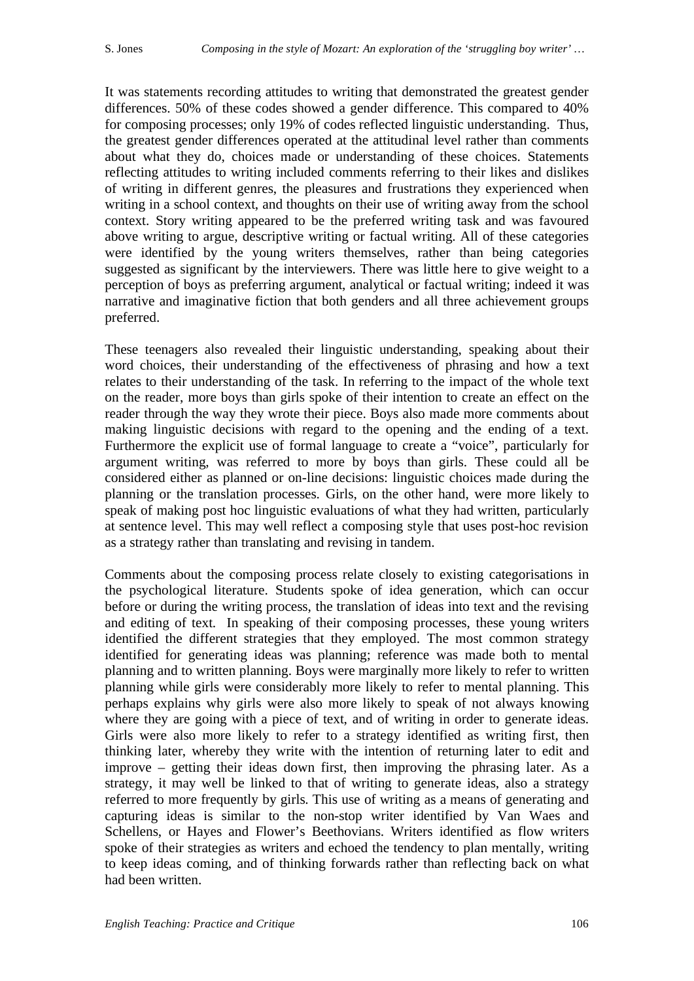It was statements recording attitudes to writing that demonstrated the greatest gender differences. 50% of these codes showed a gender difference. This compared to 40% for composing processes; only 19% of codes reflected linguistic understanding. Thus, the greatest gender differences operated at the attitudinal level rather than comments about what they do, choices made or understanding of these choices. Statements reflecting attitudes to writing included comments referring to their likes and dislikes of writing in different genres, the pleasures and frustrations they experienced when writing in a school context, and thoughts on their use of writing away from the school context. Story writing appeared to be the preferred writing task and was favoured above writing to argue, descriptive writing or factual writing. All of these categories were identified by the young writers themselves, rather than being categories suggested as significant by the interviewers. There was little here to give weight to a perception of boys as preferring argument, analytical or factual writing; indeed it was narrative and imaginative fiction that both genders and all three achievement groups preferred.

These teenagers also revealed their linguistic understanding, speaking about their word choices, their understanding of the effectiveness of phrasing and how a text relates to their understanding of the task. In referring to the impact of the whole text on the reader, more boys than girls spoke of their intention to create an effect on the reader through the way they wrote their piece. Boys also made more comments about making linguistic decisions with regard to the opening and the ending of a text. Furthermore the explicit use of formal language to create a "voice", particularly for argument writing, was referred to more by boys than girls. These could all be considered either as planned or on-line decisions: linguistic choices made during the planning or the translation processes. Girls, on the other hand, were more likely to speak of making post hoc linguistic evaluations of what they had written, particularly at sentence level. This may well reflect a composing style that uses post-hoc revision as a strategy rather than translating and revising in tandem.

Comments about the composing process relate closely to existing categorisations in the psychological literature. Students spoke of idea generation, which can occur before or during the writing process, the translation of ideas into text and the revising and editing of text. In speaking of their composing processes, these young writers identified the different strategies that they employed. The most common strategy identified for generating ideas was planning; reference was made both to mental planning and to written planning. Boys were marginally more likely to refer to written planning while girls were considerably more likely to refer to mental planning. This perhaps explains why girls were also more likely to speak of not always knowing where they are going with a piece of text, and of writing in order to generate ideas. Girls were also more likely to refer to a strategy identified as writing first, then thinking later, whereby they write with the intention of returning later to edit and improve – getting their ideas down first, then improving the phrasing later. As a strategy, it may well be linked to that of writing to generate ideas, also a strategy referred to more frequently by girls. This use of writing as a means of generating and capturing ideas is similar to the non-stop writer identified by Van Waes and Schellens, or Hayes and Flower's Beethovians. Writers identified as flow writers spoke of their strategies as writers and echoed the tendency to plan mentally, writing to keep ideas coming, and of thinking forwards rather than reflecting back on what had been written.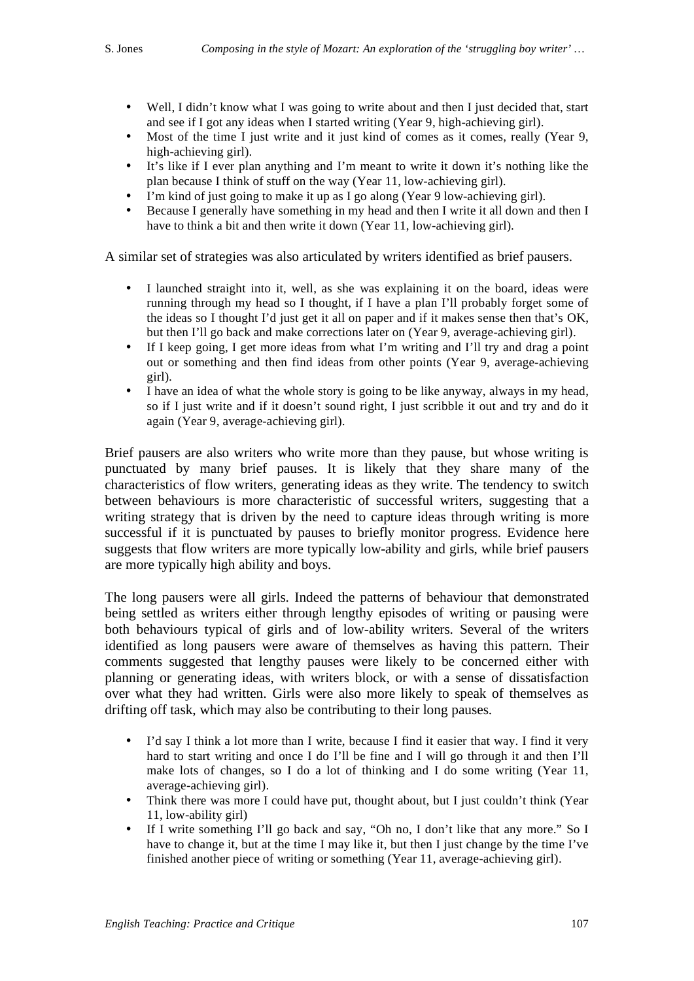- Well, I didn't know what I was going to write about and then I just decided that, start and see if I got any ideas when I started writing (Year 9, high-achieving girl).
- Most of the time I just write and it just kind of comes as it comes, really (Year 9, high-achieving girl).
- It's like if I ever plan anything and I'm meant to write it down it's nothing like the plan because I think of stuff on the way (Year 11, low-achieving girl).
- I'm kind of just going to make it up as I go along (Year 9 low-achieving girl).
- Because I generally have something in my head and then I write it all down and then I have to think a bit and then write it down (Year 11, low-achieving girl).

A similar set of strategies was also articulated by writers identified as brief pausers.

- I launched straight into it, well, as she was explaining it on the board, ideas were running through my head so I thought, if I have a plan I'll probably forget some of the ideas so I thought I'd just get it all on paper and if it makes sense then that's OK, but then I'll go back and make corrections later on (Year 9, average-achieving girl).
- If I keep going, I get more ideas from what I'm writing and I'll try and drag a point out or something and then find ideas from other points (Year 9, average-achieving girl).
- I have an idea of what the whole story is going to be like anyway, always in my head, so if I just write and if it doesn't sound right, I just scribble it out and try and do it again (Year 9, average-achieving girl).

Brief pausers are also writers who write more than they pause, but whose writing is punctuated by many brief pauses. It is likely that they share many of the characteristics of flow writers, generating ideas as they write. The tendency to switch between behaviours is more characteristic of successful writers, suggesting that a writing strategy that is driven by the need to capture ideas through writing is more successful if it is punctuated by pauses to briefly monitor progress. Evidence here suggests that flow writers are more typically low-ability and girls, while brief pausers are more typically high ability and boys.

The long pausers were all girls. Indeed the patterns of behaviour that demonstrated being settled as writers either through lengthy episodes of writing or pausing were both behaviours typical of girls and of low-ability writers. Several of the writers identified as long pausers were aware of themselves as having this pattern. Their comments suggested that lengthy pauses were likely to be concerned either with planning or generating ideas, with writers block, or with a sense of dissatisfaction over what they had written. Girls were also more likely to speak of themselves as drifting off task, which may also be contributing to their long pauses.

- I'd say I think a lot more than I write, because I find it easier that way. I find it very hard to start writing and once I do I'll be fine and I will go through it and then I'll make lots of changes, so I do a lot of thinking and I do some writing (Year 11, average-achieving girl).
- Think there was more I could have put, thought about, but I just couldn't think (Year 11, low-ability girl)
- If I write something I'll go back and say, "Oh no, I don't like that any more." So I have to change it, but at the time I may like it, but then I just change by the time I've finished another piece of writing or something (Year 11, average-achieving girl).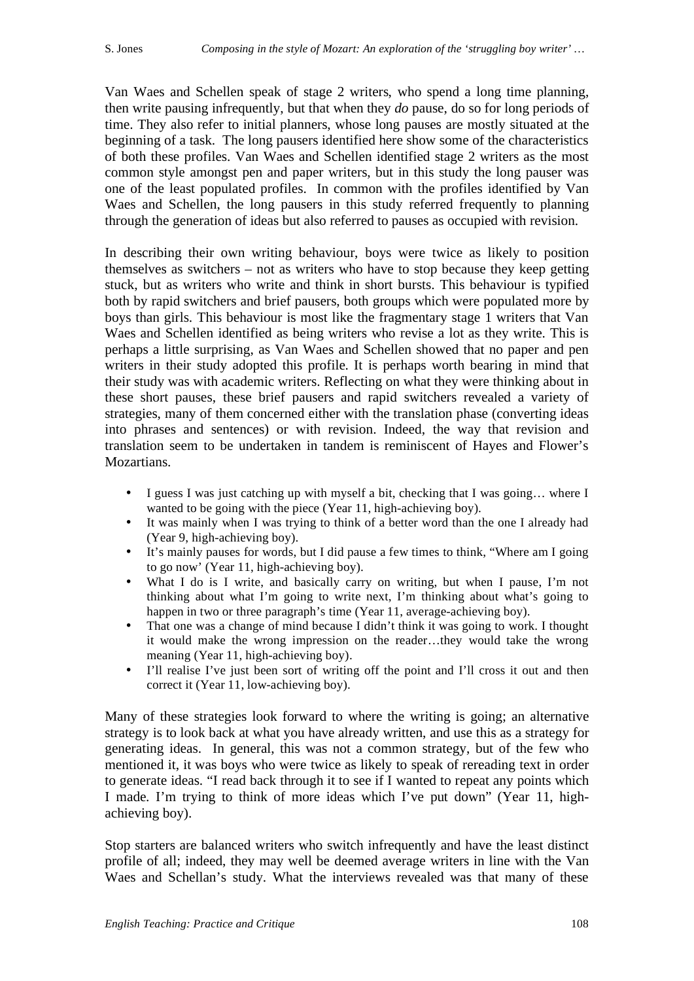Van Waes and Schellen speak of stage 2 writers, who spend a long time planning, then write pausing infrequently, but that when they *do* pause, do so for long periods of time. They also refer to initial planners, whose long pauses are mostly situated at the beginning of a task. The long pausers identified here show some of the characteristics of both these profiles. Van Waes and Schellen identified stage 2 writers as the most common style amongst pen and paper writers, but in this study the long pauser was one of the least populated profiles. In common with the profiles identified by Van Waes and Schellen, the long pausers in this study referred frequently to planning through the generation of ideas but also referred to pauses as occupied with revision.

In describing their own writing behaviour, boys were twice as likely to position themselves as switchers – not as writers who have to stop because they keep getting stuck, but as writers who write and think in short bursts. This behaviour is typified both by rapid switchers and brief pausers, both groups which were populated more by boys than girls. This behaviour is most like the fragmentary stage 1 writers that Van Waes and Schellen identified as being writers who revise a lot as they write. This is perhaps a little surprising, as Van Waes and Schellen showed that no paper and pen writers in their study adopted this profile. It is perhaps worth bearing in mind that their study was with academic writers. Reflecting on what they were thinking about in these short pauses, these brief pausers and rapid switchers revealed a variety of strategies, many of them concerned either with the translation phase (converting ideas into phrases and sentences) or with revision. Indeed, the way that revision and translation seem to be undertaken in tandem is reminiscent of Hayes and Flower's Mozartians.

- I guess I was just catching up with myself a bit, checking that I was going... where I wanted to be going with the piece (Year 11, high-achieving boy).
- It was mainly when I was trying to think of a better word than the one I already had (Year 9, high-achieving boy).
- It's mainly pauses for words, but I did pause a few times to think, "Where am I going to go now' (Year 11, high-achieving boy).
- What I do is I write, and basically carry on writing, but when I pause, I'm not thinking about what I'm going to write next, I'm thinking about what's going to happen in two or three paragraph's time (Year 11, average-achieving boy).
- That one was a change of mind because I didn't think it was going to work. I thought it would make the wrong impression on the reader…they would take the wrong meaning (Year 11, high-achieving boy).
- I'll realise I've just been sort of writing off the point and I'll cross it out and then correct it (Year 11, low-achieving boy).

Many of these strategies look forward to where the writing is going; an alternative strategy is to look back at what you have already written, and use this as a strategy for generating ideas. In general, this was not a common strategy, but of the few who mentioned it, it was boys who were twice as likely to speak of rereading text in order to generate ideas. "I read back through it to see if I wanted to repeat any points which I made. I'm trying to think of more ideas which I've put down" (Year 11, highachieving boy).

Stop starters are balanced writers who switch infrequently and have the least distinct profile of all; indeed, they may well be deemed average writers in line with the Van Waes and Schellan's study. What the interviews revealed was that many of these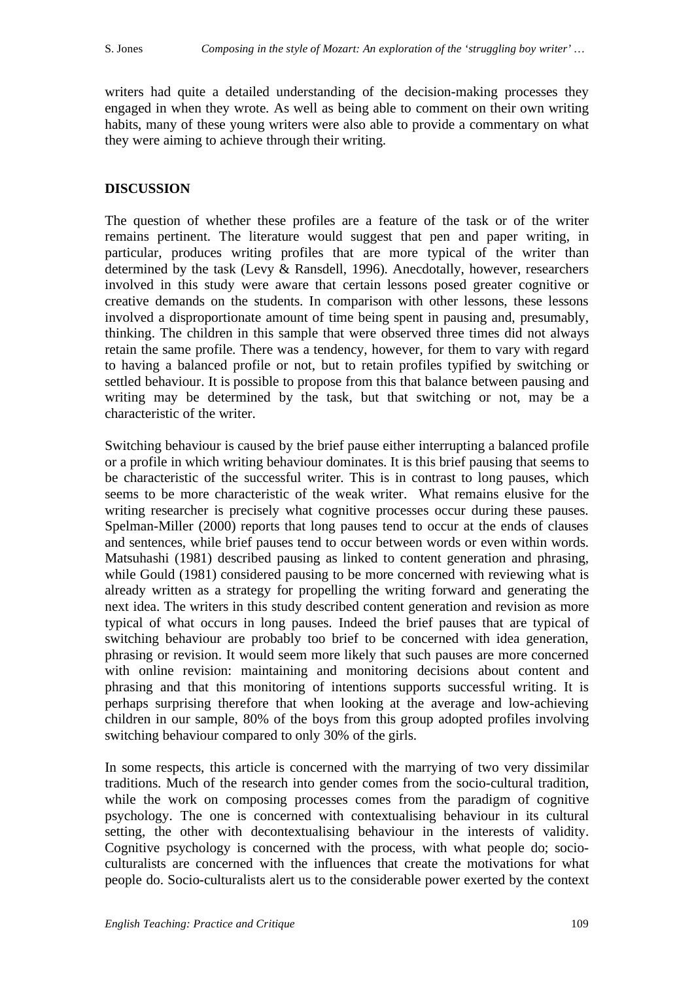writers had quite a detailed understanding of the decision-making processes they engaged in when they wrote. As well as being able to comment on their own writing habits, many of these young writers were also able to provide a commentary on what they were aiming to achieve through their writing.

# **DISCUSSION**

The question of whether these profiles are a feature of the task or of the writer remains pertinent. The literature would suggest that pen and paper writing, in particular, produces writing profiles that are more typical of the writer than determined by the task (Levy & Ransdell, 1996). Anecdotally, however, researchers involved in this study were aware that certain lessons posed greater cognitive or creative demands on the students. In comparison with other lessons, these lessons involved a disproportionate amount of time being spent in pausing and, presumably, thinking. The children in this sample that were observed three times did not always retain the same profile. There was a tendency, however, for them to vary with regard to having a balanced profile or not, but to retain profiles typified by switching or settled behaviour. It is possible to propose from this that balance between pausing and writing may be determined by the task, but that switching or not, may be a characteristic of the writer.

Switching behaviour is caused by the brief pause either interrupting a balanced profile or a profile in which writing behaviour dominates. It is this brief pausing that seems to be characteristic of the successful writer. This is in contrast to long pauses, which seems to be more characteristic of the weak writer. What remains elusive for the writing researcher is precisely what cognitive processes occur during these pauses. Spelman-Miller (2000) reports that long pauses tend to occur at the ends of clauses and sentences, while brief pauses tend to occur between words or even within words. Matsuhashi (1981) described pausing as linked to content generation and phrasing, while Gould (1981) considered pausing to be more concerned with reviewing what is already written as a strategy for propelling the writing forward and generating the next idea. The writers in this study described content generation and revision as more typical of what occurs in long pauses. Indeed the brief pauses that are typical of switching behaviour are probably too brief to be concerned with idea generation, phrasing or revision. It would seem more likely that such pauses are more concerned with online revision: maintaining and monitoring decisions about content and phrasing and that this monitoring of intentions supports successful writing. It is perhaps surprising therefore that when looking at the average and low-achieving children in our sample, 80% of the boys from this group adopted profiles involving switching behaviour compared to only 30% of the girls.

In some respects, this article is concerned with the marrying of two very dissimilar traditions. Much of the research into gender comes from the socio-cultural tradition, while the work on composing processes comes from the paradigm of cognitive psychology. The one is concerned with contextualising behaviour in its cultural setting, the other with decontextualising behaviour in the interests of validity. Cognitive psychology is concerned with the process, with what people do; socioculturalists are concerned with the influences that create the motivations for what people do. Socio-culturalists alert us to the considerable power exerted by the context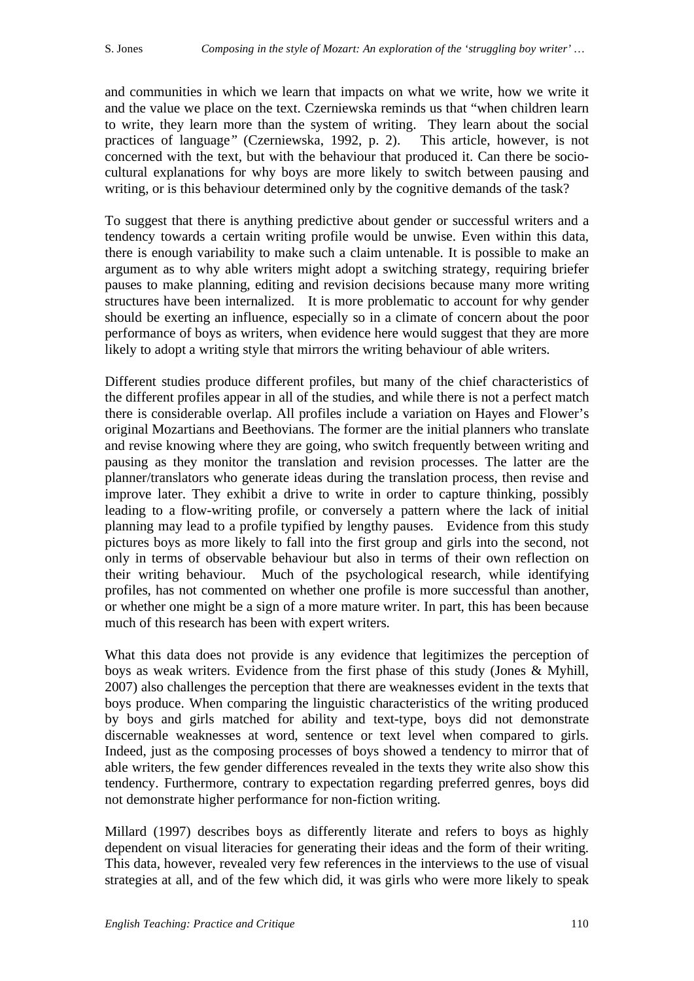and communities in which we learn that impacts on what we write, how we write it and the value we place on the text. Czerniewska reminds us that "when children learn to write, they learn more than the system of writing. They learn about the social practices of language*"* (Czerniewska, 1992, p. 2). This article, however, is not concerned with the text, but with the behaviour that produced it. Can there be sociocultural explanations for why boys are more likely to switch between pausing and writing, or is this behaviour determined only by the cognitive demands of the task?

To suggest that there is anything predictive about gender or successful writers and a tendency towards a certain writing profile would be unwise. Even within this data, there is enough variability to make such a claim untenable. It is possible to make an argument as to why able writers might adopt a switching strategy, requiring briefer pauses to make planning, editing and revision decisions because many more writing structures have been internalized. It is more problematic to account for why gender should be exerting an influence, especially so in a climate of concern about the poor performance of boys as writers, when evidence here would suggest that they are more likely to adopt a writing style that mirrors the writing behaviour of able writers.

Different studies produce different profiles, but many of the chief characteristics of the different profiles appear in all of the studies, and while there is not a perfect match there is considerable overlap. All profiles include a variation on Hayes and Flower's original Mozartians and Beethovians. The former are the initial planners who translate and revise knowing where they are going, who switch frequently between writing and pausing as they monitor the translation and revision processes. The latter are the planner/translators who generate ideas during the translation process, then revise and improve later. They exhibit a drive to write in order to capture thinking, possibly leading to a flow-writing profile, or conversely a pattern where the lack of initial planning may lead to a profile typified by lengthy pauses. Evidence from this study pictures boys as more likely to fall into the first group and girls into the second, not only in terms of observable behaviour but also in terms of their own reflection on their writing behaviour. Much of the psychological research, while identifying profiles, has not commented on whether one profile is more successful than another, or whether one might be a sign of a more mature writer. In part, this has been because much of this research has been with expert writers.

What this data does not provide is any evidence that legitimizes the perception of boys as weak writers. Evidence from the first phase of this study (Jones & Myhill, 2007) also challenges the perception that there are weaknesses evident in the texts that boys produce. When comparing the linguistic characteristics of the writing produced by boys and girls matched for ability and text-type, boys did not demonstrate discernable weaknesses at word, sentence or text level when compared to girls. Indeed, just as the composing processes of boys showed a tendency to mirror that of able writers, the few gender differences revealed in the texts they write also show this tendency. Furthermore, contrary to expectation regarding preferred genres, boys did not demonstrate higher performance for non-fiction writing.

Millard (1997) describes boys as differently literate and refers to boys as highly dependent on visual literacies for generating their ideas and the form of their writing. This data, however, revealed very few references in the interviews to the use of visual strategies at all, and of the few which did, it was girls who were more likely to speak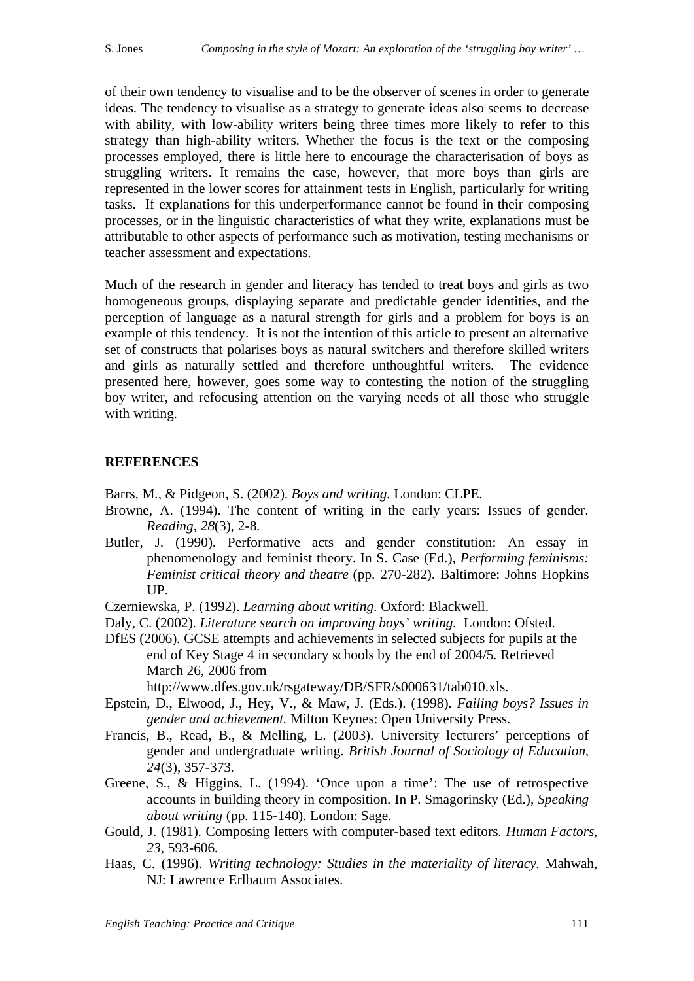of their own tendency to visualise and to be the observer of scenes in order to generate ideas. The tendency to visualise as a strategy to generate ideas also seems to decrease with ability, with low-ability writers being three times more likely to refer to this strategy than high-ability writers. Whether the focus is the text or the composing processes employed, there is little here to encourage the characterisation of boys as struggling writers. It remains the case, however, that more boys than girls are represented in the lower scores for attainment tests in English, particularly for writing tasks. If explanations for this underperformance cannot be found in their composing processes, or in the linguistic characteristics of what they write, explanations must be attributable to other aspects of performance such as motivation, testing mechanisms or teacher assessment and expectations.

Much of the research in gender and literacy has tended to treat boys and girls as two homogeneous groups, displaying separate and predictable gender identities, and the perception of language as a natural strength for girls and a problem for boys is an example of this tendency. It is not the intention of this article to present an alternative set of constructs that polarises boys as natural switchers and therefore skilled writers and girls as naturally settled and therefore unthoughtful writers. The evidence presented here, however, goes some way to contesting the notion of the struggling boy writer, and refocusing attention on the varying needs of all those who struggle with writing.

### **REFERENCES**

Barrs, M., & Pidgeon, S. (2002). *Boys and writing.* London: CLPE.

- Browne, A. (1994). The content of writing in the early years: Issues of gender. *Reading, 28*(3), 2-8.
- Butler, J. (1990). Performative acts and gender constitution: An essay in phenomenology and feminist theory. In S. Case (Ed.), *Performing feminisms: Feminist critical theory and theatre* (pp. 270-282). Baltimore: Johns Hopkins UP.
- Czerniewska, P. (1992). *Learning about writing*. Oxford: Blackwell.
- Daly, C. (2002). *Literature search on improving boys' writing.* London: Ofsted.
- DfES (2006). GCSE attempts and achievements in selected subjects for pupils at the end of Key Stage 4 in secondary schools by the end of 2004/5. Retrieved March 26, 2006 from

http://www.dfes.gov.uk/rsgateway/DB/SFR/s000631/tab010.xls.

- Epstein, D., Elwood, J., Hey, V., & Maw, J. (Eds.). (1998). *Failing boys? Issues in gender and achievement.* Milton Keynes: Open University Press.
- Francis, B., Read, B., & Melling, L. (2003). University lecturers' perceptions of gender and undergraduate writing. *British Journal of Sociology of Education, 24*(3), 357-373.
- Greene, S., & Higgins, L. (1994). 'Once upon a time': The use of retrospective accounts in building theory in composition. In P. Smagorinsky (Ed.), *Speaking about writing* (pp. 115-140)*.* London: Sage.
- Gould, J. (1981). Composing letters with computer-based text editors. *Human Factors*, *23*, 593-606.
- Haas, C. (1996). *Writing technology: Studies in the materiality of literacy.* Mahwah, NJ: Lawrence Erlbaum Associates.